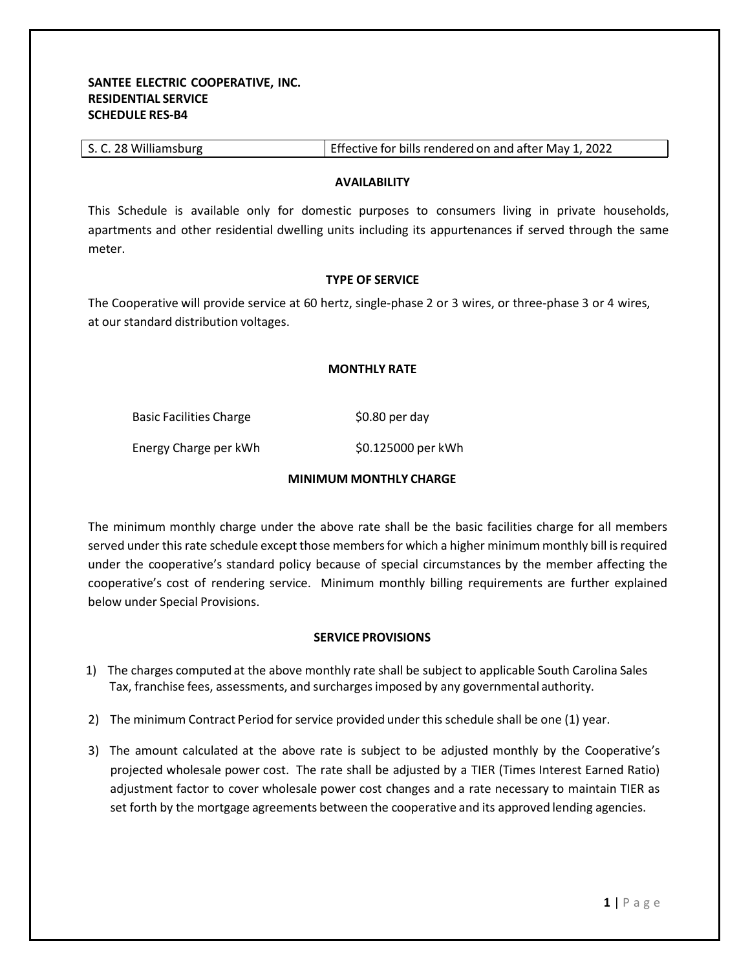| S. C. 28 Williamsburg | Effective for bills rendered on and after May 1, 2022 |
|-----------------------|-------------------------------------------------------|
|-----------------------|-------------------------------------------------------|

### **AVAILABILITY**

This Schedule is available only for domestic purposes to consumers living in private households, apartments and other residential dwelling units including its appurtenances if served through the same meter.

#### **TYPE OF SERVICE**

The Cooperative will provide service at 60 hertz, single-phase 2 or 3 wires, or three-phase 3 or 4 wires, at our standard distribution voltages.

# **MONTHLY RATE**

Basic Facilities Charge \$0.80 per day

Energy Charge per kWh \$0.125000 per kWh

# **MINIMUM MONTHLY CHARGE**

The minimum monthly charge under the above rate shall be the basic facilities charge for all members served under this rate schedule except those membersfor which a higher minimum monthly bill is required under the cooperative's standard policy because of special circumstances by the member affecting the cooperative's cost of rendering service. Minimum monthly billing requirements are further explained below under Special Provisions.

# **SERVICE PROVISIONS**

- 1) The charges computed at the above monthly rate shall be subject to applicable South Carolina Sales Tax, franchise fees, assessments, and surchargesimposed by any governmental authority.
- 2) The minimum Contract Period for service provided under this schedule shall be one (1) year.
- 3) The amount calculated at the above rate is subject to be adjusted monthly by the Cooperative's projected wholesale power cost. The rate shall be adjusted by a TIER (Times Interest Earned Ratio) adjustment factor to cover wholesale power cost changes and a rate necessary to maintain TIER as set forth by the mortgage agreements between the cooperative and its approved lending agencies.